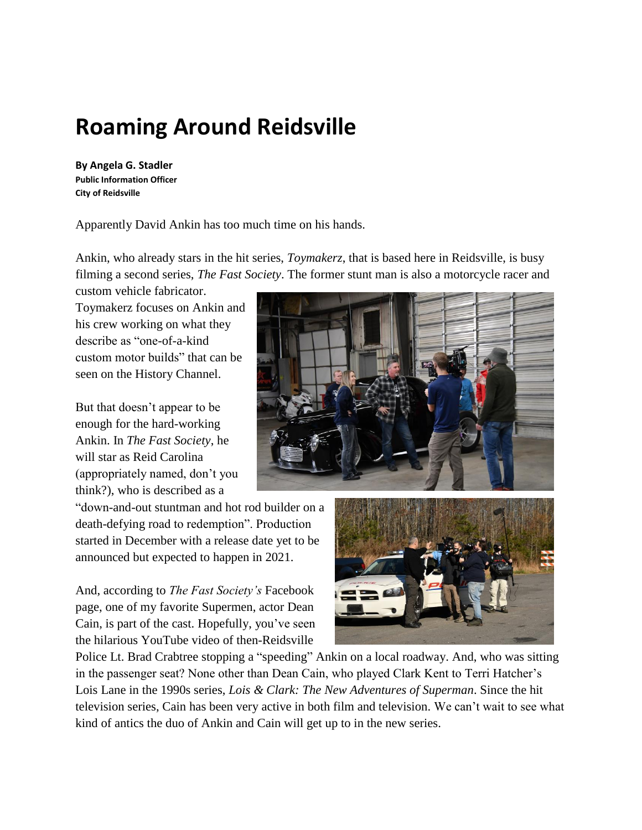# **Roaming Around Reidsville**

**By Angela G. Stadler Public Information Officer City of Reidsville**

Apparently David Ankin has too much time on his hands.

Ankin, who already stars in the hit series, *Toymakerz*, that is based here in Reidsville, is busy filming a second series, *The Fast Society*. The former stunt man is also a motorcycle racer and

custom vehicle fabricator. Toymakerz focuses on Ankin and his crew working on what they describe as "one-of-a-kind custom motor builds" that can be seen on the History Channel.

But that doesn't appear to be enough for the hard-working Ankin. In *The Fast Society*, he will star as Reid Carolina (appropriately named, don't you think?), who is described as a

"down-and-out stuntman and hot rod builder on a death-defying road to redemption". Production started in December with a release date yet to be announced but expected to happen in 2021.

And, according to *The Fast Society's* Facebook page, one of my favorite Supermen, actor Dean Cain, is part of the cast. Hopefully, you've seen the hilarious YouTube video of then-Reidsville





Police Lt. Brad Crabtree stopping a "speeding" Ankin on a local roadway. And, who was sitting in the passenger seat? None other than Dean Cain, who played Clark Kent to Terri Hatcher's Lois Lane in the 1990s series, *Lois & Clark: The New Adventures of Superman*. Since the hit television series, Cain has been very active in both film and television. We can't wait to see what kind of antics the duo of Ankin and Cain will get up to in the new series.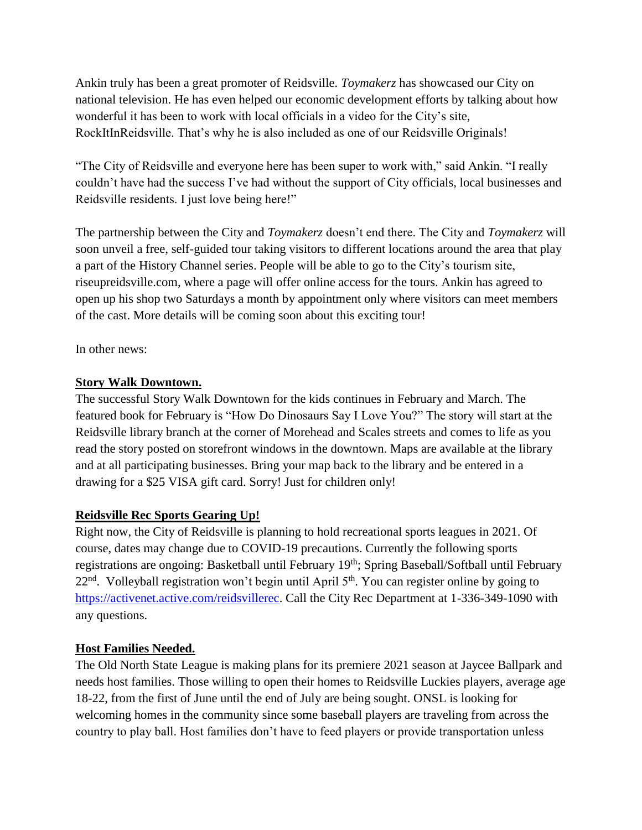Ankin truly has been a great promoter of Reidsville. *Toymakerz* has showcased our City on national television. He has even helped our economic development efforts by talking about how wonderful it has been to work with local officials in a video for the City's site, RockItInReidsville. That's why he is also included as one of our Reidsville Originals!

"The City of Reidsville and everyone here has been super to work with," said Ankin. "I really couldn't have had the success I've had without the support of City officials, local businesses and Reidsville residents. I just love being here!"

The partnership between the City and *Toymakerz* doesn't end there. The City and *Toymakerz* will soon unveil a free, self-guided tour taking visitors to different locations around the area that play a part of the History Channel series. People will be able to go to the City's tourism site, riseupreidsville.com, where a page will offer online access for the tours. Ankin has agreed to open up his shop two Saturdays a month by appointment only where visitors can meet members of the cast. More details will be coming soon about this exciting tour!

In other news:

## **Story Walk Downtown.**

The successful Story Walk Downtown for the kids continues in February and March. The featured book for February is "How Do Dinosaurs Say I Love You?" The story will start at the Reidsville library branch at the corner of Morehead and Scales streets and comes to life as you read the story posted on storefront windows in the downtown. Maps are available at the library and at all participating businesses. Bring your map back to the library and be entered in a drawing for a \$25 VISA gift card. Sorry! Just for children only!

## **Reidsville Rec Sports Gearing Up!**

Right now, the City of Reidsville is planning to hold recreational sports leagues in 2021. Of course, dates may change due to COVID-19 precautions. Currently the following sports registrations are ongoing: Basketball until February 19<sup>th</sup>; Spring Baseball/Softball until February  $22<sup>nd</sup>$ . Volleyball registration won't begin until April  $5<sup>th</sup>$ . You can register online by going to [https://activenet.active.com/reidsvillerec.](https://activenet.active.com/reidsvillerec) Call the City Rec Department at 1-336-349-1090 with any questions.

## **Host Families Needed.**

The Old North State League is making plans for its premiere 2021 season at Jaycee Ballpark and needs host families. Those willing to open their homes to Reidsville Luckies players, average age 18-22, from the first of June until the end of July are being sought. ONSL is looking for welcoming homes in the community since some baseball players are traveling from across the country to play ball. Host families don't have to feed players or provide transportation unless